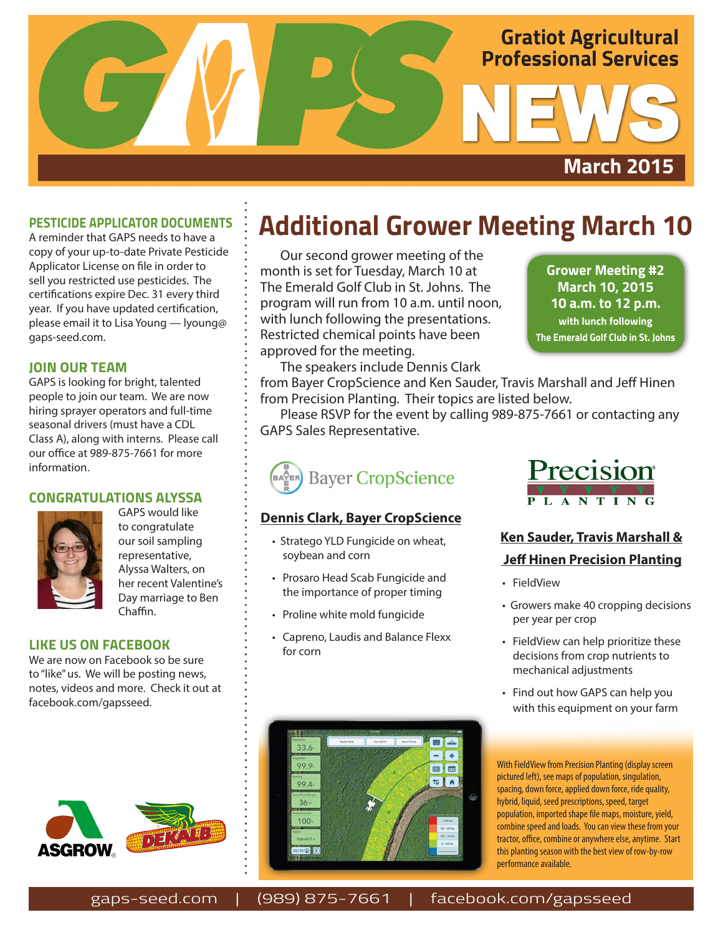

### **PESTICIDE APPLICATOR DOCUMENTS**

A reminder that GAPS needs to have a copy of your up-to-date Private Pesticide Applicator License on file in order to sell you restricted use pesticides. The certifications expire Dec. 31 every third year. If you have updated certification, please email it to Lisa Young — lyoung@ gaps-seed.com.

### **JOIN OUR TEAM**

GAPS is looking for bright, talented people to join our team. We are now hiring sprayer operators and full-time seasonal drivers (must have a CDL Class A), along with interns. Please call our office at 989-875-7661 for more information.

### **CONGRATULATIONS ALYSSA**



GAPS would like to congratulate our soil sampling representative, Alyssa Walters, on her recent Valentine's Day marriage to Ben Chaffin.

#### **LIKE US ON FACEBOOK**

We are now on Facebook so be sure to "like" us. We will be posting news, notes, videos and more. Check it out at facebook.com/gapsseed.



## **Additional Grower Meeting March 10**

Our second grower meeting of the month is set for Tuesday, March 10 at The Emerald Golf Club in St. Johns. The program will run from 10 a.m. until noon, with lunch following the presentations. Restricted chemical points have been approved for the meeting.

**Grower Meeting #2 March 10, 2015 10 a.m. to 12 p.m. with lunch following The Emerald Golf Club in St. Johns**

The speakers include Dennis Clark

from Bayer CropScience and Ken Sauder, Travis Marshall and Jeff Hinen from Precision Planting. Their topics are listed below.

Please RSVP for the event by calling 989-875-7661 or contacting any GAPS Sales Representative.



### **Dennis Clark, Bayer CropScience**

- Stratego YLD Fungicide on wheat, soybean and corn
- • Prosaro Head Scab Fungicide and the importance of proper timing
- • Proline white mold fungicide
- Capreno, Laudis and Balance Flexx for corn



### **Ken Sauder, Travis Marshall & Jeff Hinen Precision Planting**

- FieldView
- Growers make 40 cropping decisions per year per crop
- • FieldView can help prioritize these decisions from crop nutrients to mechanical adjustments
- Find out how GAPS can help you with this equipment on your farm

With FieldView from Precision Planting (display screen pictured left), see maps of population, singulation, spacing, down force, applied down force, ride quality, hybrid, liquid, seed prescriptions, speed, target population, imported shape file maps, moisture, yield, combine speed and loads. You can view these from your tractor, office, combine or anywhere else, anytime. Start this planting season with the best view of row-by-row performance available.



gaps-seed.com | (989) 875-7661 | facebook.com/gapsseed